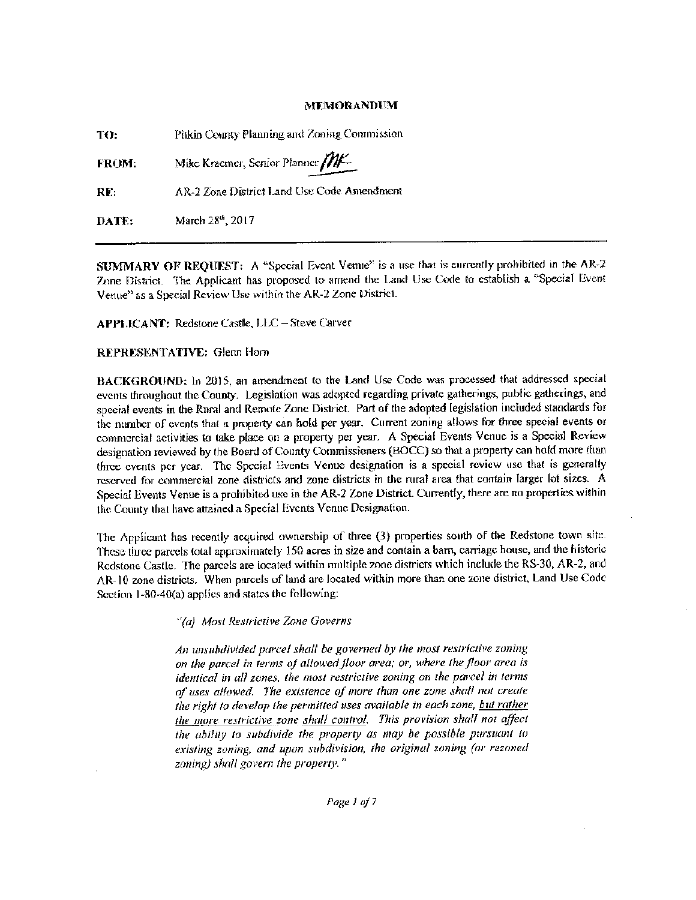## MEMORANDUM

TO: Pitkin County Planning and Zoning Commission

FROM: Mike Kraemer, Senior Planner MD.MURO<br>Zoning Co<br>1er *MK*<br>1r Code An  $\overline{\mu}$ 

RE: AR-2 Zone District Land Use Code Amendment

 $\textbf{DATA:}$  March 28th, 2017

SUMMARY OF REQUEST: A "Special Event Venue" is a use that is currently prohibited in the  $AR-2$ Zone District. The Applicant has proposed to amend the Land Use Code to establish a "Special Event Venue" as a Special Review Use within the AR-2 Zone District.

APPLICANT: Redstone Castle, LLC - Steve Carver

# REPRESENTATIVE: Glenn Hom

BACKGROUND: In 2015. an amendment to the Land Use Code was processed that addressed special events throughout the County. Legislation was adopted regarding private gatherings, public gatherings, and special events in the Rural and Remote Zone District. Part of the adopted legislation included standards for the number of events that a property can hold per year. Current zoning allows for three special events or commercial activities to take place on a property per year. A Special Events Venue is a Special Review designation reviewed by the Board of County Commissioners( BOCC) so that a property can hold more than three events per year. The Special Events Venue designation is a special review use that is generally reserved for commercial zone districts and zone districts in the rural area that contain larger lot sizes A Special Events Venue is <sup>a</sup> prohibited use in the AR-2 Zone District. Cunently, there are no properties within the Comity that have attained a Special Events Venue Designation

The Applicant has recently acquired ownership of three (3) properties south of the Redstone town site. These three parcels total approximately 150 acres in size and contain a barn, carriage house, and the historic Redstone Castle. The parcels are located within multiple zone districts which include the RS-30, AR-2, and AR- <sup>10</sup> zone districts. When parcels of land arc located within more than one zone district, Land Use Code Section 1-80-40(a) applies and states the following:

"(a) Most Restrictive Zone Governs

An unsubdivrded parcel shall be governed by the most restrictive zoning on the parcel in terms of allowed floor area; or, where the floor area is identical in all zones, the most restrictive zoning on the parcel in terms of uses allowed. The existence of more than one zone shall not create the right to develop the permitted uses available in each zone, but rather the more restrictive zone shall control. This provision shall not affect the ability to subdivide the property as may he possible pursuant to existing zoning, and upon subdivision, the original zoning (or rezoned zoning) shall govern the property."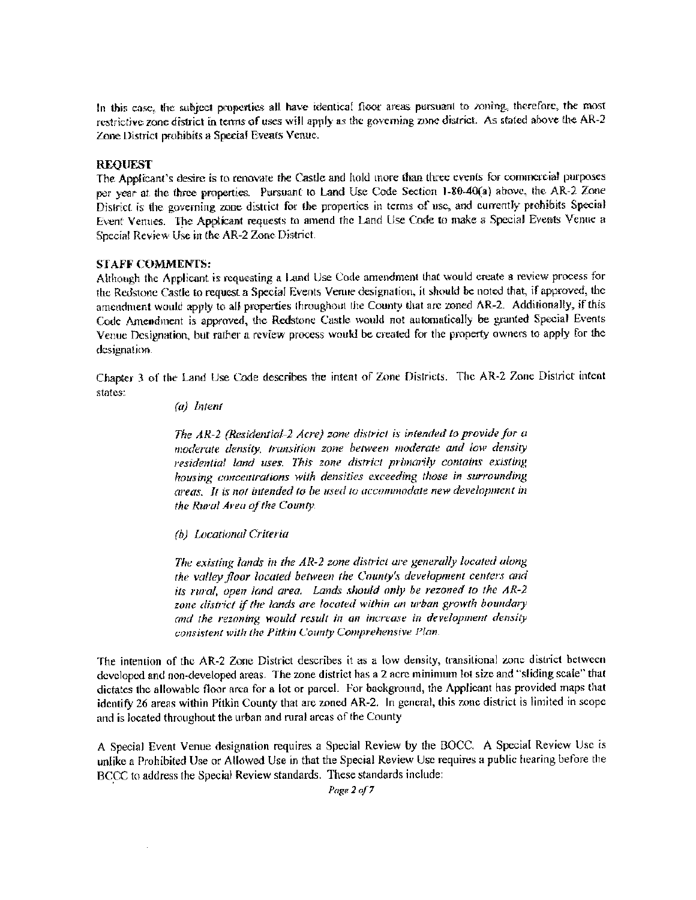In this case, the subject properties all have identical floor areas pursuant to zoning, therefore, the most restrictive zone district in terms of uses will apply as the governing zone district. As stated above the AR-2 Zone District prohibits a Special Events Venue.

## REQUEST

The Applicant's desire is to renovate the Castle and hold more than three events for commercial purposes per year at the three properties. Pursuant to Land Use Code Section 1-80-40(a) above, the AR-2 Zone District is the governing zone district for the properties in terms of use, and currently prohibits Special Event Venues. The Applicant requests to amend the Land Use Code to make a Special Events Venue a Special Review Use in the AR-2 Zone District.

#### STAFF COMMENTS:

Although the Applicant is requesting <sup>a</sup> land Use Voile amendment that would create <sup>a</sup> review process for the Redstone Castle to request <sup>a</sup> Special Events Venue designation, it should be noted that, if approved. the amendment would apply to all properties throughout the County that are zoned AR-2. Additionally, if this Code Amendment is approved, the Redstone Castle would not automatically be granted Special Events Vermc Designation, but rather a review process would be created for the property owners to apply for the designation.

Chapter <sup>3</sup> of the Land Use Code describes the intent of Zane Districts The AR-2 Zone District intent states

a) Intent

The AR-2 ( Residential-2 Acre) zone district is intended to provide for u moderate density, transition zone between moderate and low density residential land uses. This zone district primarily contains existing housing concentrations with densities exceeding those in surrounding areas. It is not intended to be used to accommodate new development in the Rural Area of the County.

b) Locational Criteria

The existing lands in the AR-2 zone district are generally located along the valley floor located between the County's development centers and its rural, open land area. Lands should only be rezoned to the  $AR-2$ zone district if the lands are located within an urban growth boundary and the rezoning would result in an increase in development density consistent with the Pitkin County Comprehensive Plan.

The intention of the AR-2 Zone District describes it as a low density, transitional zone district between developed and non-developed areas. The zone district has a 2 acre minimum lot size and "sliding scale" that dictates the allowable floor area for <sup>a</sup> lot or parcel. For background, the Applicant has provided maps that identify 26 areas within Pitkin County that are zoned AR-2. In general, this zone district is limited in scope and is located throughout the urban and rural areas of the County

A Special Event Venue designation requires a Special Review by the BOCC. A Special Review Use is unlike a Prohibited Use or Allowed Use in that the Special Review Use requires a public hearing before the BCCC to address the Special Review standards. These standards include:

Page 2 of 7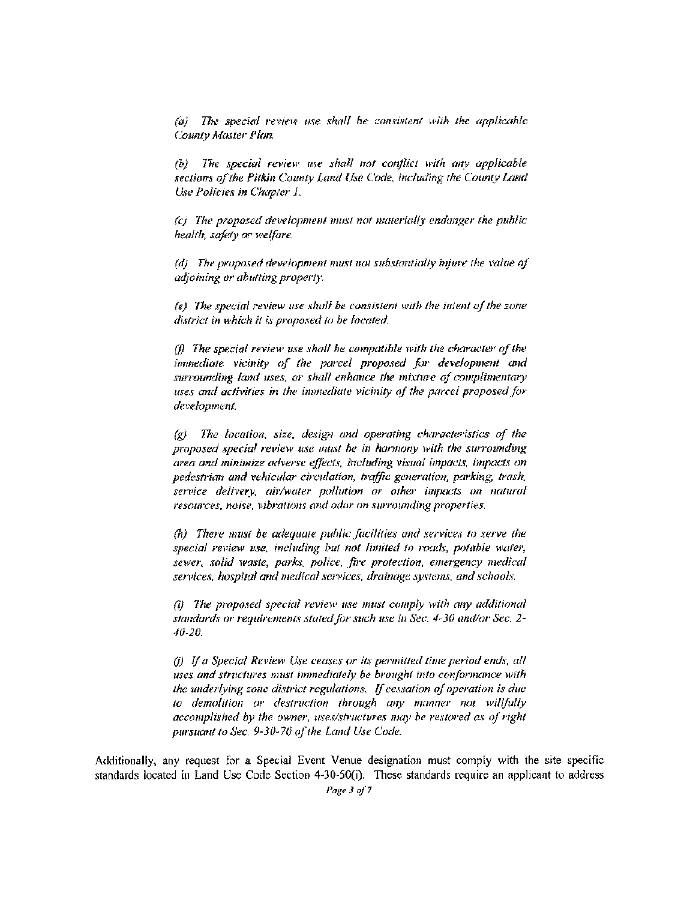$\langle a \rangle$  The special review use shall be consistent with the applicable County Master Plan.

 $(b)$  The special review use shall not conflict with any applicable sections of the Pitkin County Land Use Code, including the County Land Use Policies in Chapter I.

ci The proposed detelopnient must nor materially endanger the public health, safety or welfore.

Id/ The proposed development must not substantially injure the value of adjoining or abutting property

 $(e)$ . The special review use shall be consistent with the intent of the zone district in which it is proposed to be located.

 $\theta$ . The special review use shall be compatible with the character of the immediate vicinity of the parcel proposed for development and surrounding land uses, or shall enhance the mixture of complimentary uses and activities in the iminechate vicinity of the parcel proposed for development.

 $g$ ) The location, size, design and operating characteristics of the proposed special review use must be in harmony with the surrounding area and minimize adverse effects, including visual impacts, impacts on pedestrian and vehicular circulation, traffic generation, parking, trash, service delivery, air/water pollution or other impacts on natural resources, noise, vibrations and odor on surrounding properties.

 $(h)$  There must be adequate public facilities and services to serve the special review use, including but not limited to roads, potable water, sewer, solid waste, parks, police, fire protection, emergency medical services, hospital and medical services, drainage systems, and schools.

 $(i)$  The proposed special review use must comply with any additional standards or requirements stated for such use in Sec. 4-30 and/or Sec. 2-10- 20

 $(i)$  If a Special Review Use ceases or its permitted time period ends, all uses and structures must immediately be brought into conformance with the underlying zone district regulations. If cessation of operation is due to demolition or destruction through any manner not willfully accomplished by the owner, uses/structures may be restored as of right pursuant to Sec. 9-30-70 of the Land Use Code.

Additionally, any request for a Special Event Venue designation must comply with the site specific standards located in Land Use Code Section 4-30-50(i). These standards require an applicant to address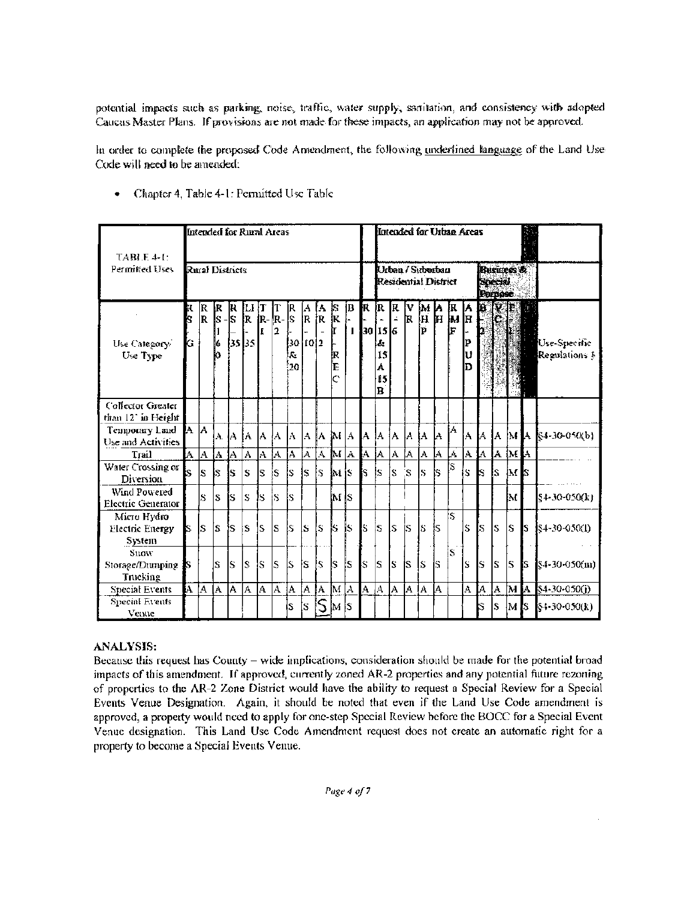potential impacts such as parking, noise, traffic, water supply, sanitation, and consistency with adopted Caucus Master Plans. If provisions are not made for these impacts, an application may not be approved.

In order to complete the proposed Code Amendment, the following underlined language of the Land Use Code will need to be amended.

| $TABLE 4-E$<br>Perinitied Uses                        |               | Intended for Rural Areas |                  |                |               |              |               |                                    |               |            |                      |                     |            | Intended for Urban Areas                      |          |         |     |     |                                |                           |                                  |     |                   |    |                                  |
|-------------------------------------------------------|---------------|--------------------------|------------------|----------------|---------------|--------------|---------------|------------------------------------|---------------|------------|----------------------|---------------------|------------|-----------------------------------------------|----------|---------|-----|-----|--------------------------------|---------------------------|----------------------------------|-----|-------------------|----|----------------------------------|
|                                                       |               | Rural Districts          |                  |                |               |              |               |                                    |               |            |                      |                     |            | Urban / Suborban<br>Residential District      |          |         |     |     |                                |                           | Business &<br>Special<br>Porpose |     |                   |    |                                  |
| Use Category/<br>Use Type                             | ĸ<br>k<br>G I | IR.<br>lR.               | IR R<br>ls<br>lб | -ls<br>35 35   | Ш<br><b>R</b> | Т<br>R-<br>I | т<br>ķ.<br>12 | IR.<br>ls<br>30 10 2<br>l.c<br>20. | $\frac{A}{R}$ | İA.<br>İR. | ļS.<br>Įк<br>İΚ<br>E | IB.<br>$\mathbf{I}$ |            | R R R<br>30 15 6<br>id.<br>15<br>Á<br>15<br>B | $\Delta$ | I۷<br>k | İр  |     | $M$ a $R$<br>$H$ $H$ $M$<br>ł٣ | Į٨<br>ŀн<br>₽<br>IJ<br>Iש | <b>RZS</b>                       |     |                   |    | Use-Specific<br>Regulations §    |
| Collector Greater<br>than 12° in Height               |               |                          |                  |                |               |              |               |                                    |               |            |                      |                     |            |                                               |          |         |     |     |                                |                           |                                  |     |                   |    |                                  |
| Temporary Land<br>Use and Activities                  | IA IA         |                          |                  | A IA IA-       |               | lА.          | IA.           | lA.                                | IA IA         |            | M A                  |                     |            | IA IA IA                                      |          | IA JA   |     | lA  | İA.                            |                           |                                  |     |                   |    | A   A   A   M   A   §4-30-050(b) |
| Trail                                                 |               |                          |                  | A  A  A  A     | A             |              |               | A  A  A  A                         |               |            |                      | AMAA                |            | IA.                                           | A.       | ļΑ.     | JΑ. | JA. | W.                             |                           |                                  |     | A   A   A   M   A |    |                                  |
| Water Crossing or<br>Diversion                        | Ŀ.            | ls                       | ls               | Ŝ              | S             | ls.          | ls.           | ls.                                | ls.           | is.        | MS                   |                     | Is.        | ls.                                           | ls       | `S      | ls  | ls  | 'S                             | ls.                       | k                                | ls  | M <sub>8</sub>    |    |                                  |
| Wind Powered<br>Electric Generator                    |               | S                        | ls               | ÍS.            | ls            | ls           | ÍS            | ls                                 |               |            | IM IS                |                     |            |                                               |          |         |     |     |                                |                           |                                  |     | IМ                |    | \$4-30-050(k)                    |
| Micro Hydro<br><b>Flectuc Energy</b><br><b>System</b> | S             | ls                       | ÍS               | is             | ls            | S            | ls            | ls.                                | ls            | ls         | k                    | ls.                 | ls         | ls                                            | ls       | İS      | ls  | łs. | .<br>S                         | ls.                       | S                                | ls  | S                 | Is | $$4-30-050(1)$                   |
| Snow<br>Storage/Dumping<br>Trucking                   | -IS           |                          | S                | ls             | ls            | ls           | ls            | S                                  | ls            | ls.        | ļs.                  | ļs.                 | ls         | ls.                                           | ls       | İS.     | ls  | ls  | S.                             | ls                        | ls                               | ls  | S                 | ß  | $84-30-050(m)$                   |
| <b>Special Events</b>                                 | A  A          |                          | [A               | $\overline{A}$ | IA.           | IA.          | A             | A.                                 | A  A          |            | M A                  |                     | $A \mid A$ |                                               | A        | A.      | IA. | lA. |                                | A                         | A.                               | ļA. | 'МИ               |    | $$4-30-050(i)$                   |
| <b>Special Events</b><br>Venue                        |               |                          |                  |                |               |              |               | ls.                                | ls.           | S          | M IS                 |                     |            |                                               |          |         |     |     |                                |                           | S                                | ls  | IM IS.            |    | $84-30-050(k)$                   |

Chapter 4, Table 4- I- Remitted Use Table

# ANALYSIS:

Because this request has County - wide implications, consideration should be made for the potential broad impacts of this amendment, If approved, currently zoned AR-2 properties and any potential future rezoning of properties to the AR-2 Zone District would have the ability to request <sup>a</sup> Special Review for <sup>a</sup> Special Events Venue Designation. Again, it should be noted that even if the Land Use Code amendment is approved, a property would need to apply for one- step Special Review before the BOCC for <sup>a</sup> Special Event Venue designation. This Land Use Code Amendment request does not create an automatic right for a property to become a Special Events Venue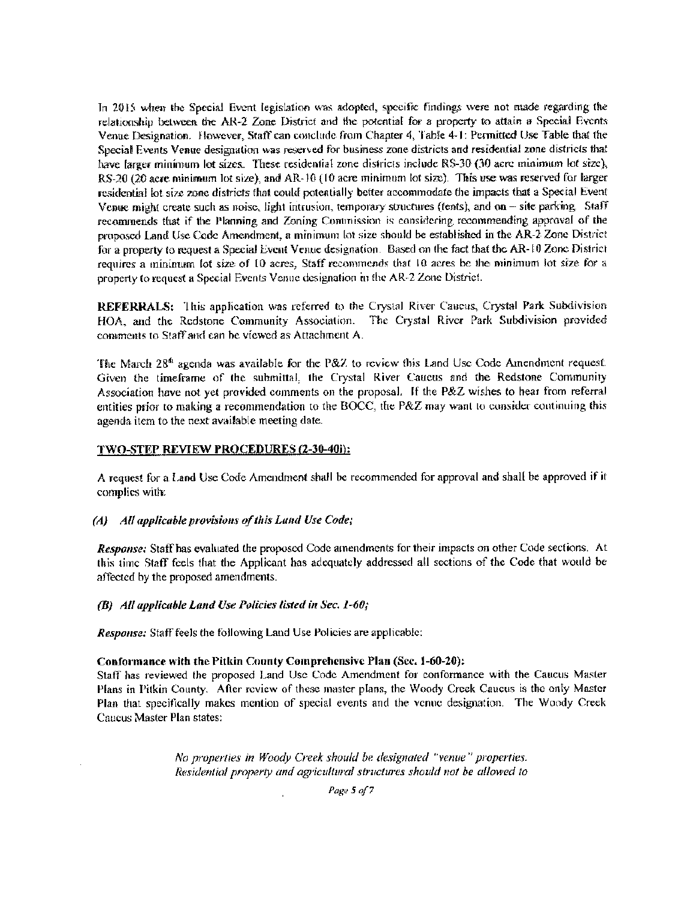In 2015 when the Special Event legislation was adopted. specific findings were not made regarding the relationship between the AR-2 Zone District and the potential for a property to attain a Special Events Venue Designation. However, Staff can conclude from Chapter 4, Table 4-1: Permitted Use Table that the Special Events Venue designation was reserved for busmess zone districts and residential zone districts that have larger minimum lot sizes. These residential zone districts include RS-30 (30 acre minimum lot size), RS-20 (20 acre minimum lot size), and AR-10 (10 acre minimum lot size). This use was reserved for larger residential lot size zone districts that could potentially better accommodate the impacts that a Special Event Venue might create such as noise. light intrusion, temporary structures ( tents), and on- site parking Staff recommends that if the Planning and Zoning Commission is considering recommending approval of the proposed Land Use Code Amendment, a minimum lot size should be established in the AR-2 Zone District for a property to request a Special Event Venue designation. Based on the fact that the AR-10 Zone District requires a minimum lot size of 10 acres, Staff recommends that 10 acres be the minimum lot size for a property to request <sup>a</sup> Special Events Venue designation in the AR-2 Zone District

REFERRALS: This application was referred to the Crystal River Caucus, Crystal Park Subdivision HOA, and the Redstone Community Association. The Crystal River Park Subdivision provided comments to Staff and can be viewed as Attachment A.

The March  $28<sup>th</sup>$  agenda was available for the P&Z to review this Land Use Code Amendment request. Given the timeframe of the submittal. the Crystal Rivet Caucus and the Redstone Community Association have not yet provided comments on the proposal. If the P&Z wishes to hear from referral entities prior to making a recommendation to the BOCC, the P&Z may want to consider continuing this agenda item to the next available meeting date

## TWO-STEP REVIEW PROCEDURES (2-30-40i):

A request fur <sup>a</sup> Land Use Code Amendment shall be recommended for approval and shall he approved if it complies with.

#### (A) All applicable provisions of this Land Use Code;

Response: Staff has evaluated the proposed Code amendments for their impacts on other Code sections. At this time Staff feels that the Applicant has adequately addressed all sections of the Code that would be affected by the proposed amendments

(B) All applicable Land Use Policies listed in Sec.  $1-60$ ;

Response: Staff feels the following Land Use Policies are applicable:

#### Conformance with the Pitkin County Comprehensive Plan (Sec. 1-60-20):

Staff has reviewed the proposed land Use Code Amendment foi conformance with the Caucus Master Plans in Pitkin County. After review of these master plans, the Woody Creek Caucus is the only Master Plan that specifically makes mention of special events and the venue designation. The Woody Creek Caucus Master Plan states:

> No properties in Woody Creek should be designated "venue" properties. Residential property and agricultural structures should not be allowed to

> > Page 5 of 7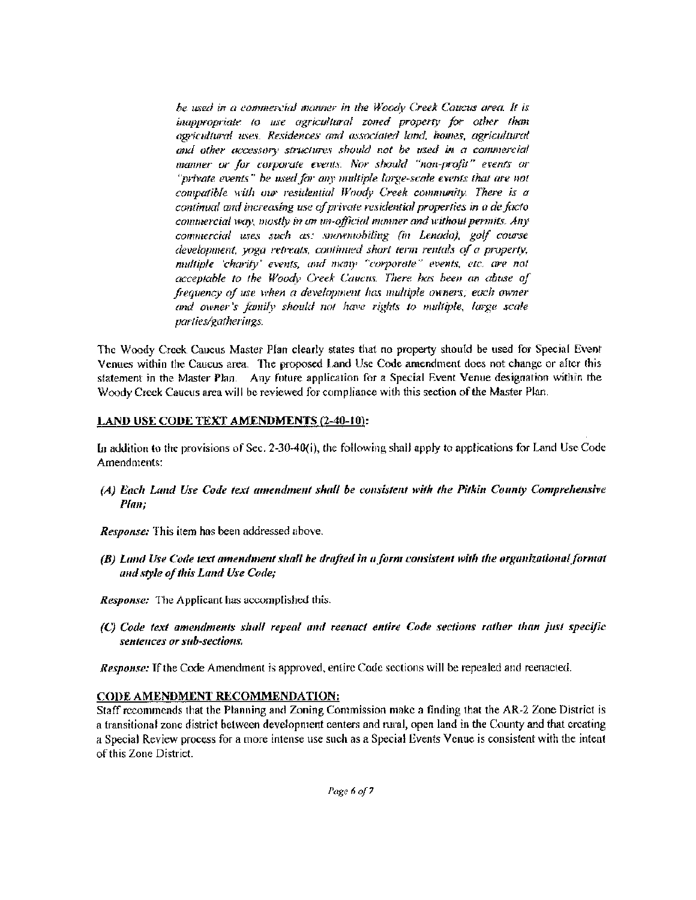he used in a commercial manner in the Woody Creek Caucus area. It is inappropriate to use agricultural zoned property for other than agricultural uses. Residences and associated land, homes, agricultural and other accessory structures should not be used in a commercial manner or for corporate events. Nor should "non-profit" events or " $prime$  events" he used for any multiple large-scale events that are not compatible with our residential Woody Creek community. There is a continual and increasing use of private residential properties in a de facto commercial way, mostly in an un-official manner and without permits. Any commercial uses such as: snowmohiling (in Lenada), golf course  $devel$ opment, yoga retreats, continued short term rentals of a property, multiple 'charity' events, and many "corporate" events, etc. are not acceptable to the Woody Creek Cancus. There has been an abuse of frequency of use when a development has multiple owners; each owner and owner's family should not have rights to multiple, large scale parties/gatherings.

The Woody Creek Caucus Master Plan clearly states that no property should be used for Special Event Venues within the Caucus area The proposed land Use Code amendment does not change or after this statement in the Master Plan. Any future application for a Special Event Venue designation within the Woody Creek Caucus area will be reviewed for compliance with this section of the Master Plan

## LAND USE CODE TEXT AMENDMENTS (2-40-10):

In addition to the provisions of Sec. 2-30-40(i), the following shall apply to applications for Land Use Code Amendments:

A) Each Land Use Code text amendment shull be consistent with the Pitkin County Comprehensive Plan;

Response: This item has been addressed above.

- B) Land Use Code text amendment shall be drafted in a form consistent with the organizational format and style of this Land Use Code;
- Response: The Applicant has accomplished this.
- C) Code text amendments shall repeal and reenact entire Code sections rather than just specific sentences or sub-sections.

Response: If the Code Amendment is approved, entire Code sections will be repealed and reenacted.

# CODE AMENDMENT RECOMMENDATION:

Staff recommends that the Planning and Zoning Commission make <sup>a</sup> finding that the AR-2 Zone District Is a transitional zone district between development centers and rural, open land in the County and that creating a Special Review process for a more intense use such as a Special Events Venue is consistent with the intent of this Zone District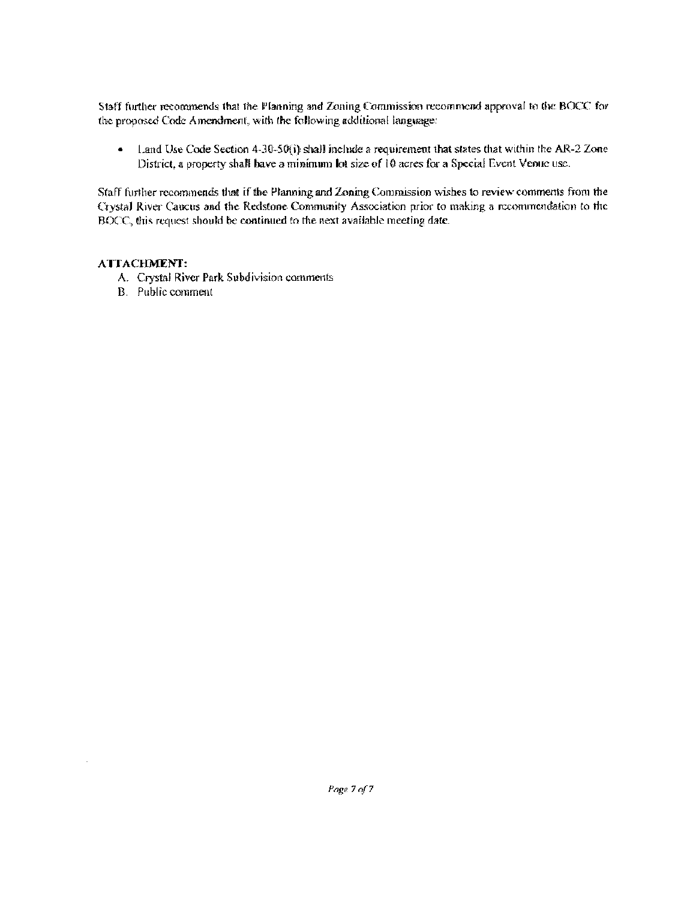Staff further recommends that the Planning and Zoning Commission recommend approval to the BOCC for the proposed Code Amendment, with the following additional language:

 $\bullet$ Land Use Code Section  $4-30-50(i)$  shall include a requirement that states that within the AR-2 Zone District, a property shall have a minimum lot size of 10 acres for a Special Event Venue use.

Staff further recommends that if the Planning and Zoning Commission wishes to review comments from the Crystal River Caucus and the Redstone Community Association prior to making a recommemfalion to the HOCC, this request should be continued to the next available meeting date.

# ATTACHMENT:

l.

- A. Crystal River Park Subdivision comments
- B. Public comment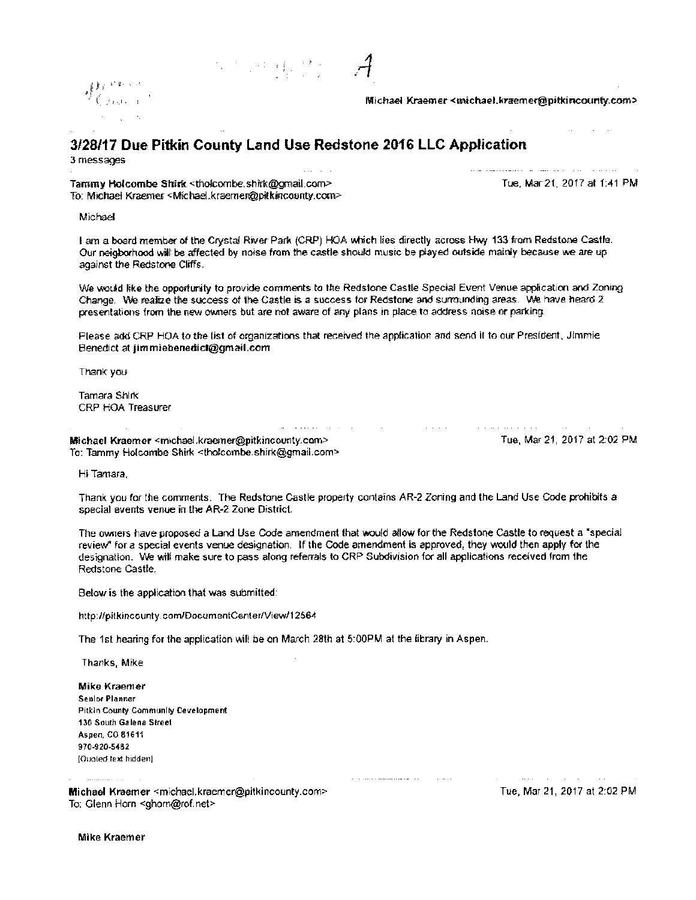$\mathbb{R}^4$  and  $\mathbb{R}^4$  and  $\mathcal{A}$ 



Michael Kraemer< michael. kraemer@pitkincounty.conv

# 3128117 Due Pitkin County Land Use Redstone 2016 LLC Application

3 messages

Tammy Holcombe Shirk < tholcombe shirk@gmail.com> Toe, Mar 21, 2017 at 1:41 PM To Michael Kraemer< Michael. kraemer@pitkincounty.com>

المراوية والرابط والمراوي والمستريط المتمسلة والسواري طريق

Michael

I am a board member of the Crystal River Park (CRP) HOA which lies directly across Hwy 133 from Redstone Castle. Our neigborhood will be affected by noise from the castle should music be played outside mainly because we are up against the Redstone Cliffs

We would like the opportunity to provide comments to the Redstone Castle Special Event Venue application and Zoning Change. We realize the success of the Castle is a success for Redstone and surrounding areas. We have heard 2 presentations from the new owners but are not aware of any plans in place to address noise or parking

Please add CRP HOA to the list of organizations that received the application and send it to our President, Jimmie Benedict at jimmiebenedict@gmail com

 $\Delta$  . The mass of the set of the set of the set of  $\Delta$ 

**Contractor** 

Thank you

Tamara Shirk CRP HOA Treasurer

Michael Kraemer<michael.kraemer@pitkincounty.com> Tue, Mar 21, 2017 at 2:02 PM To: Tammy Holcombe Shirk <tholcombe shirk@gmail.com>

. The maximizing and  $\alpha$  is a sequence of  $\alpha$  ,  $\alpha$  ,  $\alpha$ 

Hi Tamara,

Thank you for the comments. The Redstone Castle property contains AR-2 Zoning and the Land Use Code prohibits a special events venue in the AR-2 Zone District.

The owners have proposed a Land Use Code amendment that would allow for the Redstone Castle to request a' special review' for a special events venue designation. If the Code amendment is approved, they would then apply for the designation We will make sure to pass along referrals to CRP Subdivision for all applications received from the Redstone Castle

 $\alpha$  , a second communication of  $\alpha$  , and  $\alpha$  , and  $\alpha$ 

Below is the application that was submitted:

http://pitkincounty.com/DacumentCenter/View/12564

The 1st hearing for the application will be on March 28th at 5:00PM at the library in Aspen.

Thanks, Mike

Mike Kraemer Senior Planner Pitkin County Community Development 130 South Galena Street Aspen, CO 81611 970-920-5482 [Quoted text hidden]

Michael Kraemer <michael.kraemer@pitkincounty.com> Tue, Mar 21, 2017 at 2:02 PM To: Glenn Horn < ghom@rof.net>

and the state of the state of

Mike Kraemer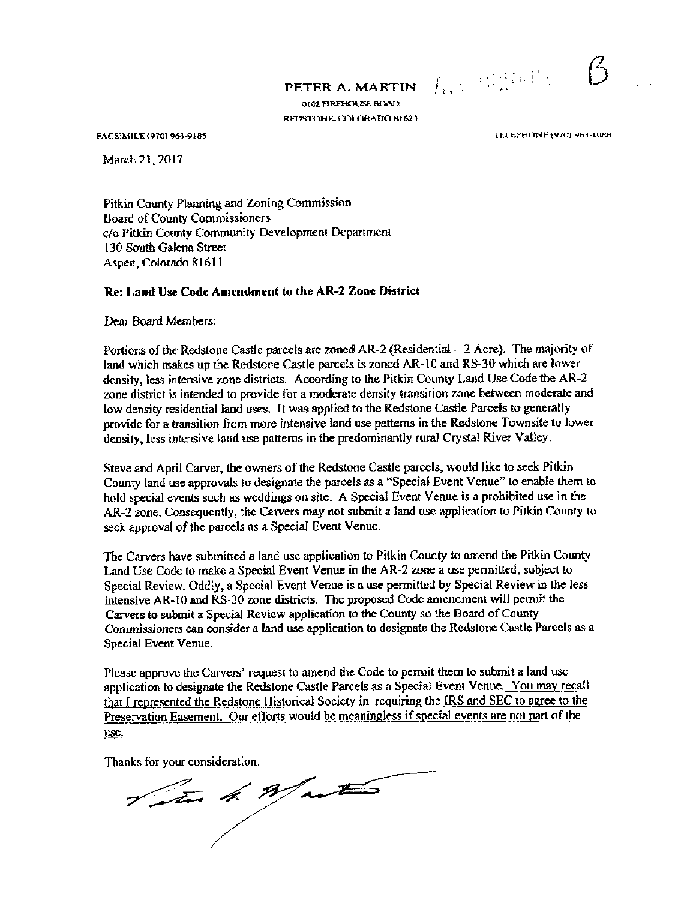PETER A. MARTIN

0102 FIREHOUSE ROAD REDSTONE, COLORADO 81623

March 21, 2017

FACSIMILE (970) 963-9185 TELEPHONE (9701 963-1088

有心的群兽的。

Pitkin County Planning and Zoning Commission Board of County Commissioners cia Pitkin County Community Development Department 130 South Galena Street Aspen, Colorado 81611

# Re: Land Use Code Amendment to the AR-2 Zone District

Dear Board Members:

Portions of the Redstone Castle parcels are zoned  $AR-2$  (Residential  $-2$  Acre). The majority of land which makes up the Redstone Castle parcels is zoned AR-10 and RS-30 which are lower density, less intensive zone districts. According to the Pitkin County Land Use Code the AR-2 zone district is intended to provide for a moderate density transition zone between moderate and low density residential land uses. It was applied to the Redstone Castle Parcels to generally provide for a transition from more intensive land use patterns in the Redstone Townsite to lower density, less intensive land use patterns in the predominantly rural Crystal River Valley.

Steve and April Carver, the owners of the Redstone Castle parcels, would like to seek Pitkin County land use approvals to designate the parcels as a" Special Event Venue" to enable them to hold special events such as weddings on site. A Special Event Venue is a prohibited use in the AR-2 zone. Consequently, the Carvers may not submit a land use application to Pitkin County to seek approval of the parcels as a Special Event Venue.

The Carvers have submitted a land use application to Pitkin County to amend the Pitkin County Land Use Code to make a Special Event Venue in the AR-2 zone a use permitted, subject to Special Review. Oddly, a Special Event Venue is a use permitted by Special Review in the less intensive AR-10 and RS- 30 zone districts. The proposed Code amendment will permit the Carvers to submit a Special Review application to the County so the Board of County Commissioners can consider a land use application to designate the Redstone Castle Parcels as a Special Event Venue.

Please approve the Carvers' request to amend the Code to permit them to submit a land use application to designate the Redstone Castle Parcels as a Special Event Venue. You may recall that I represented the Redstone Historical Society in requiring the IRS and SEC to agree to the Preservation Easement. Our efforts would be meaningless if special events are not part of the use.

Thanks for your consideration.

Titut 4. Waster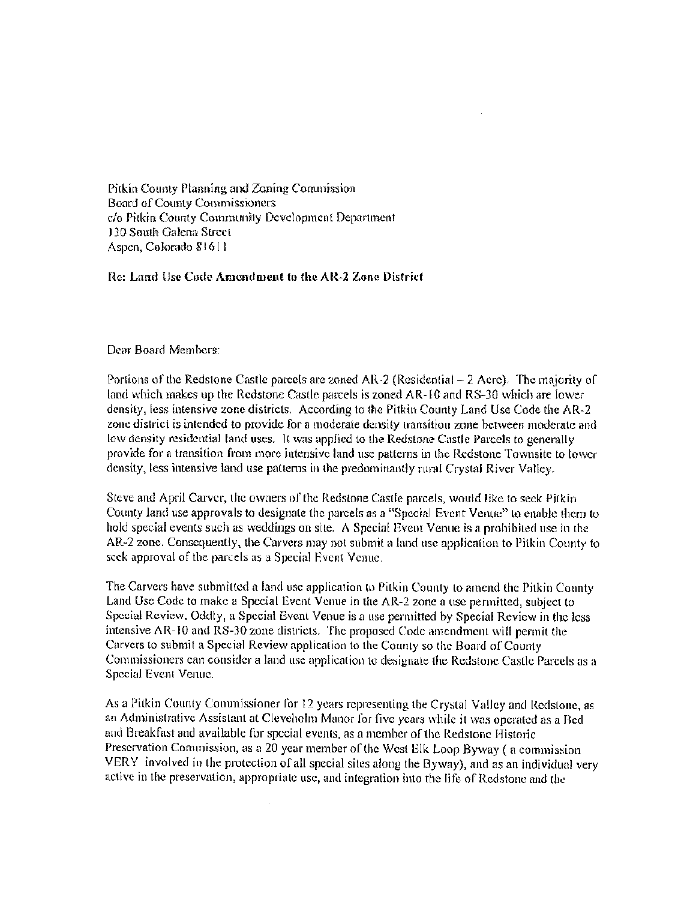Pitkin County Planning and Zoning Commission Board of County Conunissronets c/o Pitkin County Community Development Department 130 South Galena Street Aspen, Colorado 816 <sup>I</sup> <sup>1</sup>

## Re: Land Use Code Amendment to the AR-2 Zone District

#### Dear Board Members:

Portions of the Redstone Castle parcels are zoned AR-2 (Residential  $-2$  Acre). The majority of land which makes up the Redstone Castle parcels is zoned AR- IC and RS- 30 which are lower density, less intensive zone districts. According to the Pitkin County Land Use Code the AR-2 zone district is intended to provide for <sup>a</sup> moderate density transition zone between moderate and tow density residential land uses. It was applied to the Redstone Castle Parcels to generally provide for <sup>a</sup> transition from more intensive land use patterns in the Redstone fownsite to tower density, less intensive land use patterns in the predominantly rural Ciystal River Valley.

Steve and April Carver, the owners of the Redstone Castle parcels, would like to seek Pitkin County land use approvals to designate the parcels as a "Special Event Venue" to enable them to hold special events such as weddings on site. A Special Event Venue is a prohibited use in the AR-2 zone. Consequently, the Carvers may not submit a land use application to Pitkin County to seek approval of the parcels as <sup>a</sup> Special Event Venue

The Carvers have submitted a land use application to Pitkin County to amend the Pitkin County Land Use Code to make <sup>a</sup> Special Event Venue in the AR-2 zone <sup>a</sup> use permitted, subject to Special Review. Oddly, a Special Event Venue is a use permitted by Special Review in the less intensive AR-10 and RS-30 zone districts. The proposed Code amendment will permit the Carvers to submit a Special Review application to the County so the Board of County Commissioners can consider a land use application to designate the Redstone Castle Parcels as <sup>a</sup> Special Event Venue

As a Pitkin County Commissioner for 12 years representing the Crystal Valley and Redstone, as an Administrative Assistant at Cleveholm Manor for five years while it was operated as a Bed and Breakfast and available for special events, as <sup>a</sup> member of the Redstone Historic Preservation Commission, as <sup>a</sup> 20 year member of the West Elk Loop Byway ( a commission VERY involved in the protection of all special sites along the Byway), and as an individual very active in the preservation, appropriate use, and integration into the life of Redstone and the